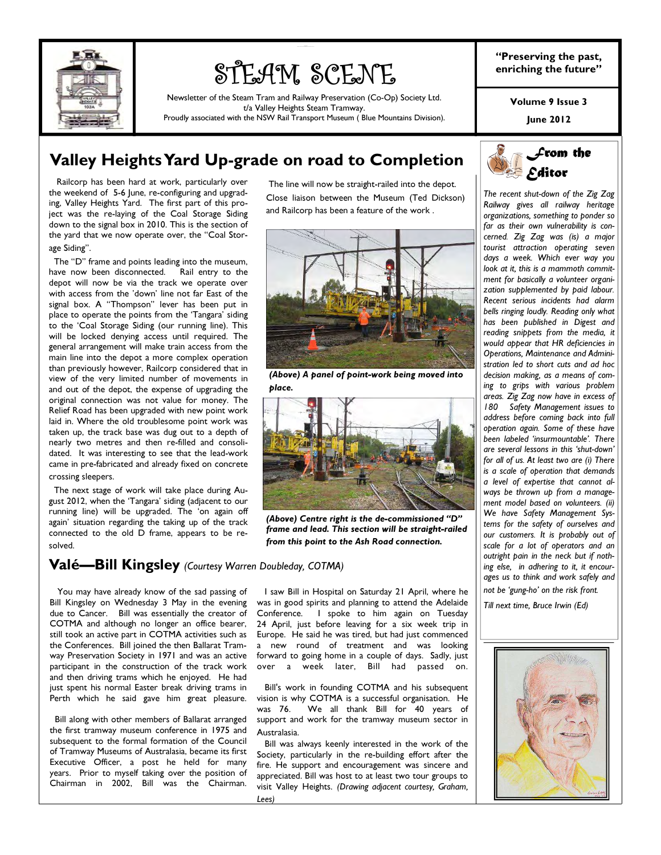

# STEAM SCENE

Newsletter of the Steam Tram and Railway Preservation (Co-Op) Society Ltd. t/a Valley Heights Steam Tramway.

Proudly associated with the NSW Rail Transport Museum ( Blue Mountains Division).

"Preserving the past, enriching the future"

Volume 9 Issue 3

June 2012

### Valley Heights Yard Up-grade on road to Completion

 Railcorp has been hard at work, particularly over the weekend of 5-6 June, re-configuring and upgrading, Valley Heights Yard. The first part of this project was the re-laying of the Coal Storage Siding down to the signal box in 2010. This is the section of the yard that we now operate over, the "Coal Storage Siding".

 The "D" frame and points leading into the museum, have now been disconnected. Rail entry to the depot will now be via the track we operate over with access from the 'down' line not far East of the signal box. A "Thompson" lever has been put in place to operate the points from the 'Tangara' siding to the 'Coal Storage Siding (our running line). This will be locked denying access until required. The general arrangement will make train access from the main line into the depot a more complex operation than previously however, Railcorp considered that in view of the very limited number of movements in and out of the depot, the expense of upgrading the original connection was not value for money. The Relief Road has been upgraded with new point work laid in. Where the old troublesome point work was taken up, the track base was dug out to a depth of nearly two metres and then re-filled and consolidated. It was interesting to see that the lead-work came in pre-fabricated and already fixed on concrete crossing sleepers.

 The next stage of work will take place during August 2012, when the 'Tangara' siding (adjacent to our running line) will be upgraded. The 'on again off again' situation regarding the taking up of the track connected to the old D frame, appears to be resolved.

### Valé—Bill Kingsley (Courtesy Warren Doubleday, COTMA)

 You may have already know of the sad passing of Bill Kingsley on Wednesday 3 May in the evening due to Cancer. Bill was essentially the creator of COTMA and although no longer an office bearer, still took an active part in COTMA activities such as the Conferences. Bill joined the then Ballarat Tramway Preservation Society in 1971 and was an active participant in the construction of the track work and then driving trams which he enjoyed. He had just spent his normal Easter break driving trams in Perth which he said gave him great pleasure.

 Bill along with other members of Ballarat arranged the first tramway museum conference in 1975 and subsequent to the formal formation of the Council of Tramway Museums of Australasia, became its first Executive Officer, a post he held for many years. Prior to myself taking over the position of Chairman in 2002, Bill was the Chairman.

 The line will now be straight-railed into the depot. Close liaison between the Museum (Ted Dickson) and Railcorp has been a feature of the work .

- 이 그는 그 사람들은 아이들이 아니라 아이들은 아이들이 아니라 아이들이 아니라 아이들이 아니라 아이들이 아니라 아이들이 아니라 아이들이 아니라 아이들이 아니라 아이들이 아니라 아이들이 아니라 아



(Above) A panel of point-work being moved into place.



(Above) Centre right is the de-commissioned "D" frame and lead. This section will be straight-railed from this point to the Ash Road connection.

 I saw Bill in Hospital on Saturday 21 April, where he was in good spirits and planning to attend the Adelaide Conference. I spoke to him again on Tuesday 24 April, just before leaving for a six week trip in Europe. He said he was tired, but had just commenced a new round of treatment and was looking forward to going home in a couple of days. Sadly, just over a week later, Bill had passed on.

 Bill's work in founding COTMA and his subsequent vision is why COTMA is a successful organisation. He was 76. We all thank Bill for 40 years of support and work for the tramway museum sector in Australasia.

 Bill was always keenly interested in the work of the Society, particularly in the re-building effort after the fire. He support and encouragement was sincere and appreciated. Bill was host to at least two tour groups to visit Valley Heights. *(Drawing adjacent courtesy, Graham, Lees)* 



*The recent shut-down of the Zig Zag Railway gives all railway heritage organizations, something to ponder so far as their own vulnerability is concerned. Zig Zag was (is) a major tourist attraction operating seven days a week. Which ever way you look at it, this is a mammoth commitment for basically a volunteer organization supplemented by paid labour. Recent serious incidents had alarm bells ringing loudly. Reading only what has been published in Digest and reading snippets from the media, it would appear that HR deficiencies in Operations, Maintenance and Administration led to short cuts and ad hoc decision making, as a means of coming to grips with various problem areas. Zig Zag now have in excess of 180 Safety Management issues to address before coming back into full operation again. Some of these have been labeled 'insurmountable'. There are several lessons in this 'shut-down' for all of us. At least two are (i) There is a scale of operation that demands a level of expertise that cannot always be thrown up from a management model based on volunteers. (ii) We have Safety Management Systems for the safety of ourselves and our customers. It is probably out of scale for a lot of operators and an outright pain in the neck but if nothing else, in adhering to it, it encourages us to think and work safely and not be 'gung-ho' on the risk front.* 

*Till next time, Bruce Irwin (Ed)* 

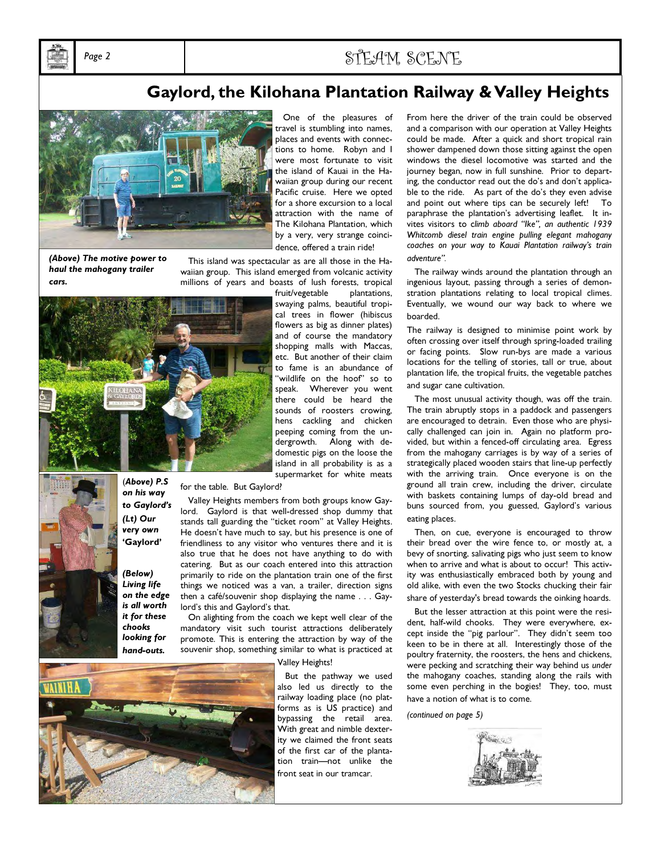

### Page 2  $\text{S} \uparrow \text{F} \uparrow \text{A} \uparrow \text{M}$   $\text{S} \uparrow \text{F} \uparrow \text{N} \uparrow \text{F}$

### Gaylord, the Kilohana Plantation Railway & Valley Heights



(Above) The motive power to haul the mahogany trailer cars.

 One of the pleasures of travel is stumbling into names, places and events with connec-.<br>tions to home. Robyn and I were most fortunate to visit the island of Kauai in the Hawaiian group during our recent Pacific cruise. Here we opted for a shore excursion to a local attraction with the name of The Kilohana Plantation, which by a very, very strange coincidence, offered a train ride!

 This island was spectacular as are all those in the Hawaiian group. This island emerged from volcanic activity millions of years and boasts of lush forests, tropical



fruit/vegetable plantations, swaying palms, beautiful tropical trees in flower (hibiscus flowers as big as dinner plates) and of course the mandatory shopping malls with Maccas, etc. But another of their claim to fame is an abundance of 'wildlife on the hoof" so to speak. Wherever you went there could be heard the sounds of roosters crowing, hens cackling and chicken peeping coming from the undergrowth. Along with dedomestic pigs on the loose the island in all probability is as a supermarket for white meats

for the table. But Gaylord?

 Valley Heights members from both groups know Gaylord. Gaylord is that well-dressed shop dummy that stands tall guarding the "ticket room" at Valley Heights. He doesn't have much to say, but his presence is one of friendliness to any visitor who ventures there and it is also true that he does not have anything to do with catering. But as our coach entered into this attraction primarily to ride on the plantation train one of the first things we noticed was a van, a trailer, direction signs then a café/souvenir shop displaying the name . . . Gaylord's this and Gaylord's that.

 On alighting from the coach we kept well clear of the mandatory visit such tourist attractions deliberately promote. This is entering the attraction by way of the souvenir shop, something similar to what is practiced at

Valley Heights!



(Below) Living life on the edge is all worth it for these chooks looking for hand-outs.

on his way to Gaylord's (Lt) Our very own 'Gaylord'

> But the pathway we used also led us directly to the railway loading place (no platforms as is US practice) and bypassing the retail area. With great and nimble dexterity we claimed the front seats of the first car of the plantation train—not unlike the front seat in our tramcar.

From here the driver of the train could be observed and a comparison with our operation at Valley Heights could be made. After a quick and short tropical rain shower dampened down those sitting against the open windows the diesel locomotive was started and the journey began, now in full sunshine. Prior to departing, the conductor read out the do's and don't applicable to the ride. As part of the do's they even advise and point out where tips can be securely left! To paraphrase the plantation's advertising leaflet. It invites visitors to c*limb aboard "Ike", an authentic 1939 Whitcomb diesel train engine pulling elegant mahogany coaches on your way to Kauai Plantation railway's train adventure".* 

 The railway winds around the plantation through an ingenious layout, passing through a series of demonstration plantations relating to local tropical climes. Eventually, we wound our way back to where we boarded.

The railway is designed to minimise point work by often crossing over itself through spring-loaded trailing or facing points. Slow run-bys are made a various locations for the telling of stories, tall or true, about plantation life, the tropical fruits, the vegetable patches and sugar cane cultivation.

 The most unusual activity though, was off the train. The train abruptly stops in a paddock and passengers are encouraged to detrain. Even those who are physically challenged can join in. Again no platform provided, but within a fenced-off circulating area. Egress from the mahogany carriages is by way of a series of strategically placed wooden stairs that line-up perfectly with the arriving train. Once everyone is on the ground all train crew, including the driver, circulate with baskets containing lumps of day-old bread and buns sourced from, you guessed, Gaylord's various eating places.

 Then, on cue, everyone is encouraged to throw their bread over the wire fence to, or mostly at, a bevy of snorting, salivating pigs who just seem to know when to arrive and what is about to occur! This activity was enthusiastically embraced both by young and old alike, with even the two Stocks chucking their fair share of yesterday's bread towards the oinking hoards.

 But the lesser attraction at this point were the resident, half-wild chooks. They were everywhere, except inside the "pig parlour". They didn't seem too keen to be in there at all. Interestingly those of the poultry fraternity, the roosters, the hens and chickens, were pecking and scratching their way behind us *under*  the mahogany coaches, standing along the rails with some even perching in the bogies! They, too, must have a notion of what is to come.

*(continued on page 5)* 

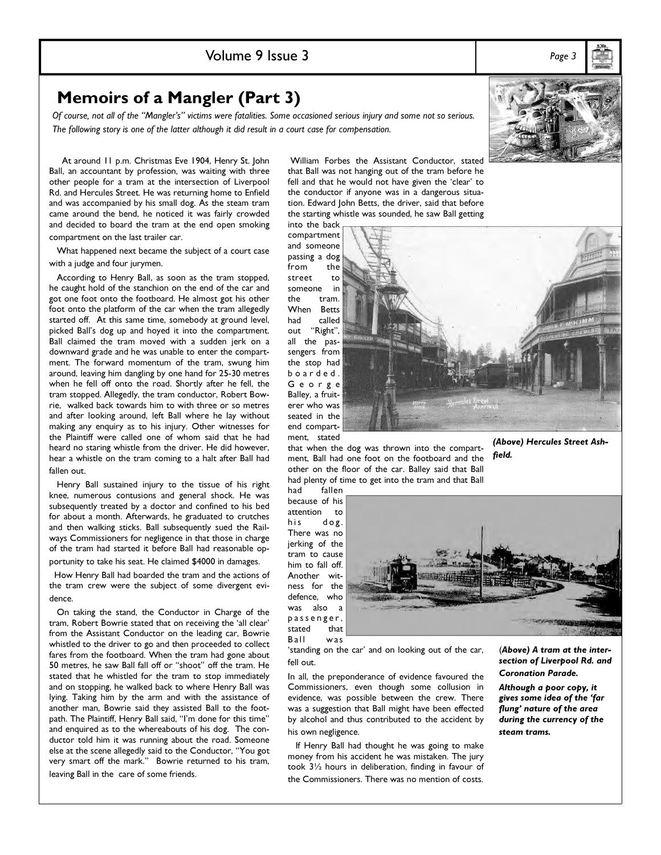### Memoirs of a Mangler (Part 3)

Of course, not all of the "Mangler's" victims were fatalities. Some occasioned serious injury and some not so serious. The following story is one of the latter although it did result in a court case for compensation.

 At around 11 p.m. Christmas Eve 1904, Henry St. John Ball, an accountant by profession, was waiting with three other people for a tram at the intersection of Liverpool Rd. and Hercules Street. He was returning home to Enfield and was accompanied by his small dog. As the steam tram came around the bend, he noticed it was fairly crowded and decided to board the tram at the end open smoking compartment on the last trailer car.

 What happened next became the subject of a court case with a judge and four jurymen.

 According to Henry Ball, as soon as the tram stopped, he caught hold of the stanchion on the end of the car and got one foot onto the footboard. He almost got his other foot onto the platform of the car when the tram allegedly started off. At this same time, somebody at ground level, picked Ball's dog up and hoyed it into the compartment. Ball claimed the tram moved with a sudden jerk on a downward grade and he was unable to enter the compartment. The forward momentum of the tram, swung him around, leaving him dangling by one hand for 25-30 metres when he fell off onto the road. Shortly after he fell, the tram stopped. Allegedly, the tram conductor, Robert Bowrie, walked back towards him to with three or so metres and after looking around, left Ball where he lay without making any enquiry as to his injury. Other witnesses for the Plaintiff were called one of whom said that he had heard no staring whistle from the driver. He did however, hear a whistle on the tram coming to a halt after Ball had fallen out.

 Henry Ball sustained injury to the tissue of his right knee, numerous contusions and general shock. He was subsequently treated by a doctor and confined to his bed for about a month. Afterwards, he graduated to crutches and then walking sticks. Ball subsequently sued the Railways Commissioners for negligence in that those in charge of the tram had started it before Ball had reasonable opportunity to take his seat. He claimed \$4000 in damages.

 How Henry Ball had boarded the tram and the actions of the tram crew were the subject of some divergent evidence.

 On taking the stand, the Conductor in Charge of the tram, Robert Bowrie stated that on receiving the 'all clear' from the Assistant Conductor on the leading car, Bowrie whistled to the driver to go and then proceeded to collect fares from the footboard. When the tram had gone about 50 metres, he saw Ball fall off or "shoot" off the tram. He stated that he whistled for the tram to stop immediately and on stopping, he walked back to where Henry Ball was lying. Taking him by the arm and with the assistance of another man, Bowrie said they assisted Ball to the footpath. The Plaintiff, Henry Ball said, "I'm done for this time" and enquired as to the whereabouts of his dog. The conductor told him it was running about the road. Someone else at the scene allegedly said to the Conductor, "You got very smart off the mark." Bowrie returned to his tram, leaving Ball in the care of some friends.

 William Forbes the Assistant Conductor, stated that Ball was not hanging out of the tram before he fell and that he would not have given the 'clear' to the conductor if anyone was in a dangerous situation. Edward John Betts, the driver, said that before the starting whistle was sounded, he saw Ball getting

into the back compartment and someone passing a dog from street to someone in the tram. When Betts had called out "Right", all the passengers from the stop had b o a r d e d . G e o r g e Balley, a fruiterer who was

seated in the end compartment, stated that when the dog was thrown into the compart-

ment, Ball had one foot on the footboard and the other on the floor of the car. Balley said that Ball had plenty of time to get into the tram and that Ball<br>had fallen

fallen because of his attention to his dog. There was no jerking of the tram to cause him to fall off. Another witness for the defence, who was also a p a s s e n g e r , stated that

Ball was

'standing on the car' and on looking out of the car, fell out.

In all, the preponderance of evidence favoured the Commissioners, even though some collusion in evidence, was possible between the crew. There was a suggestion that Ball might have been effected by alcohol and thus contributed to the accident by his own negligence.

 If Henry Ball had thought he was going to make money from his accident he was mistaken. The jury took 3½ hours in deliberation, finding in favour of the Commissioners. There was no mention of costs.

(Above) Hercules Street Ashfield.

(Above) A tram at the intersection of Liverpool Rd. and Coronation Parade.

Although a poor copy, it gives some idea of the 'far flung' nature of the area during the currency of the steam trams.

Volume 9 Issue 3 Page 3





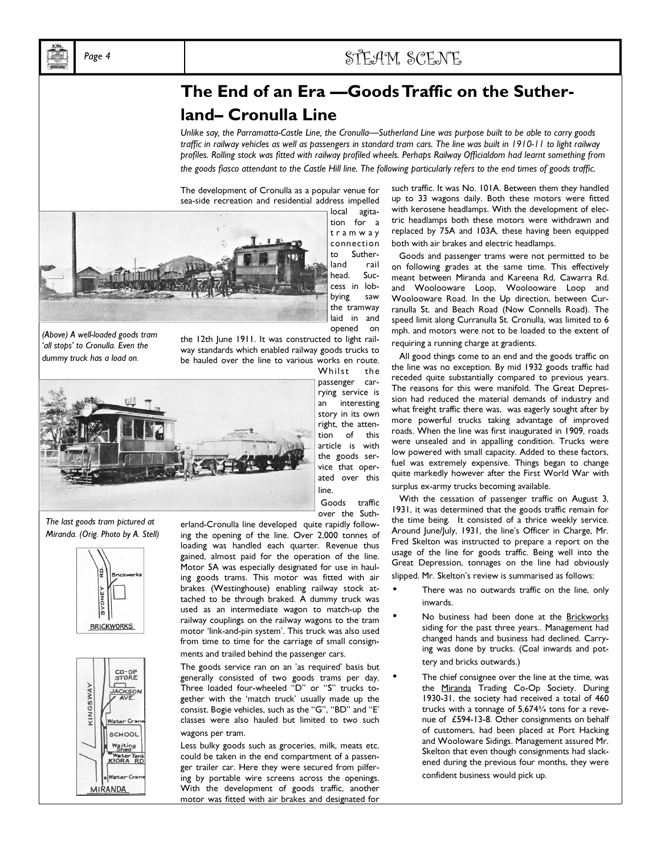

### Page 4  $\text{S} \uparrow \text{F} \uparrow \text{A} \uparrow \text{M}$ ,  $\text{S} \uparrow \text{F} \uparrow \text{N} \uparrow \text{F}$

## The End of an Era —Goods Traffic on the Sutherland– Cronulla Line

Unlike say, the Parramatta-Castle Line, the Cronulla—Sutherland Line was purpose built to be able to carry goods traffic in railway vehicles as well as passengers in standard tram cars. The line was built in 1910-11 to light railway profiles. Rolling stock was fitted with railway profiled wheels. Perhaps Railway Officialdom had learnt something from the goods fiasco attendant to the Castle Hill line. The following particularly refers to the end times of goods traffic.

The development of Cronulla as a popular venue for sea-side recreation and residential address impelled



local agitation for a t r a m w a y connection to Sutherland rail head. Success in lobbying saw the tramway laid in and opened on

*(Above) A well-loaded goods tram 'all stops' to Cronulla. Even the dummy truck has a load on.* 

the 12th June 1911. It was constructed to light railway standards which enabled railway goods trucks to be hauled over the line to various works en route.



Whilst the passenger carrying service is an interesting story in its own right, the attention of this article is with the goods service that oper-

line.

 Goods traffic over the Suth-

*The last goods tram pictured at Miranda. (Orig. Photo by A. Stell)* 





erland-Cronulla line developed quite rapidly following the opening of the line. Over 2,000 tonnes of loading was handled each quarter. Revenue thus gained, almost paid for the operation of the line. Motor 5A was especially designated for use in hauling goods trams. This motor was fitted with air brakes (Westinghouse) enabling railway stock attached to be through braked. A dummy truck was used as an intermediate wagon to match-up the railway couplings on the railway wagons to the tram motor 'link-and-pin system'. This truck was also used from time to time for the carriage of small consignments and trailed behind the passenger cars.

The goods service ran on an 'as required' basis but generally consisted of two goods trams per day. Three loaded four-wheeled "D" or "S" trucks together with the 'match truck' usually made up the consist. Bogie vehicles, such as the "G", "BD" and "E' classes were also hauled but limited to two such wagons per tram.

Less bulky goods such as groceries, milk, meats etc. could be taken in the end compartment of a passenger trailer car. Here they were secured from pilfering by portable wire screens across the openings. With the development of goods traffic, another motor was fitted with air brakes and designated for

such traffic. It was No. 101A. Between them they handled up to 33 wagons daily. Both these motors were fitted with kerosene headlamps. With the development of electric headlamps both these motors were withdrawn and replaced by 75A and 103A, these having been equipped both with air brakes and electric headlamps.

 Goods and passenger trams were not permitted to be on following grades at the same time. This effectively meant between Miranda and Kareena Rd, Cawarra Rd. and Woolooware Loop, Woolooware Loop and Woolooware Road. In the Up direction, between Curranulla St. and Beach Road (Now Connells Road). The speed limit along Curranulla St. Cronulla, was limited to 6 mph. and motors were not to be loaded to the extent of requiring a running charge at gradients.

 All good things come to an end and the goods traffic on the line was no exception. By mid 1932 goods traffic had receded quite substantially compared to previous years. The reasons for this were manifold. The Great Depression had reduced the material demands of industry and what freight traffic there was, was eagerly sought after by more powerful trucks taking advantage of improved roads. When the line was first inaugurated in 1909, roads were unsealed and in appalling condition. Trucks were low powered with small capacity. Added to these factors, fuel was extremely expensive. Things began to change quite markedly however after the First World War with surplus ex-army trucks becoming available.

 With the cessation of passenger traffic on August 3, 1931, it was determined that the goods traffic remain for the time being. It consisted of a thrice weekly service. Around June/July, 1931, the line's Officer in Charge, Mr. Fred Skelton was instructed to prepare a report on the usage of the line for goods traffic. Being well into the Great Depression, tonnages on the line had obviously slipped. Mr. Skelton's review is summarised as follows:

- There was no outwards traffic on the line, only inwards.
- No business had been done at the Brickworks siding for the past three years.. Management had changed hands and business had declined. Carrying was done by trucks. (Coal inwards and pottery and bricks outwards.)
- The chief consignee over the line at the time, was the Miranda Trading Co-Op Society. During 1930-31, the society had received a total of 460 trucks with a tonnage of 5,674¾ tons for a revenue of £594-13-8. Other consignments on behalf of customers, had been placed at Port Hacking and Wooloware Sidings. Management assured Mr. Skelton that even though consignments had slackened during the previous four months, they were confident business would pick up.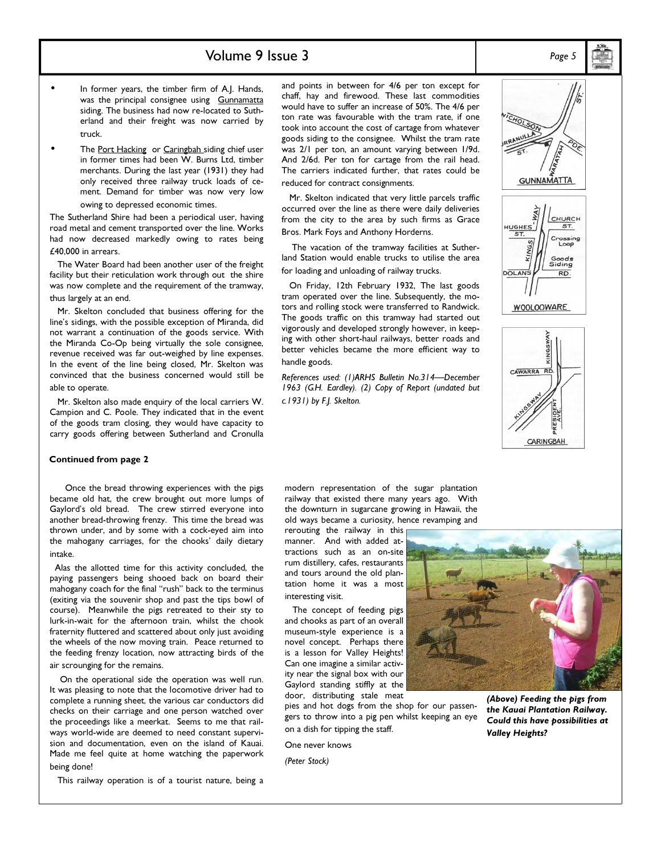### Volume 9 Issue 3 Page 5

- In former years, the timber firm of A.J. Hands, was the principal consignee using Gunnamatta siding. The business had now re-located to Sutherland and their freight was now carried by truck.
- The Port Hacking or Caringbah siding chief user in former times had been W. Burns Ltd, timber merchants. During the last year (1931) they had only received three railway truck loads of cement. Demand for timber was now very low owing to depressed economic times.

The Sutherland Shire had been a periodical user, having road metal and cement transported over the line. Works had now decreased markedly owing to rates being £40,000 in arrears.

 The Water Board had been another user of the freight facility but their reticulation work through out the shire was now complete and the requirement of the tramway, thus largely at an end.

 Mr. Skelton concluded that business offering for the line's sidings, with the possible exception of Miranda, did not warrant a continuation of the goods service. With the Miranda Co-Op being virtually the sole consignee, revenue received was far out-weighed by line expenses. In the event of the line being closed, Mr. Skelton was convinced that the business concerned would still be able to operate.

 Mr. Skelton also made enquiry of the local carriers W. Campion and C. Poole. They indicated that in the event of the goods tram closing, they would have capacity to carry goods offering between Sutherland and Cronulla

#### Continued from page 2

 Once the bread throwing experiences with the pigs became old hat, the crew brought out more lumps of Gaylord's old bread. The crew stirred everyone into another bread-throwing frenzy. This time the bread was thrown under, and by some with a cock-eyed aim into the mahogany carriages, for the chooks' daily dietary intake.

 Alas the allotted time for this activity concluded, the paying passengers being shooed back on board their mahogany coach for the final "rush" back to the terminus (exiting via the souvenir shop and past the tips bowl of course). Meanwhile the pigs retreated to their sty to lurk-in-wait for the afternoon train, whilst the chook fraternity fluttered and scattered about only just avoiding the wheels of the now moving train. Peace returned to the feeding frenzy location, now attracting birds of the air scrounging for the remains.

 On the operational side the operation was well run. It was pleasing to note that the locomotive driver had to complete a running sheet, the various car conductors did checks on their carriage and one person watched over the proceedings like a meerkat. Seems to me that railways world-wide are deemed to need constant supervision and documentation, even on the island of Kauai. Made me feel quite at home watching the paperwork being done!

This railway operation is of a tourist nature, being a

and points in between for 4/6 per ton except for chaff, hay and firewood. These last commodities would have to suffer an increase of 50%. The 4/6 per ton rate was favourable with the tram rate, if one took into account the cost of cartage from whatever goods siding to the consignee. Whilst the tram rate was 2/1 per ton, an amount varying between 1/9d. And 2/6d. Per ton for cartage from the rail head. The carriers indicated further, that rates could be reduced for contract consignments.

 Mr. Skelton indicated that very little parcels traffic occurred over the line as there were daily deliveries from the city to the area by such firms as Grace Bros. Mark Foys and Anthony Horderns.

 The vacation of the tramway facilities at Sutherland Station would enable trucks to utilise the area for loading and unloading of railway trucks.

 On Friday, 12th February 1932, The last goods tram operated over the line. Subsequently, the motors and rolling stock were transferred to Randwick. The goods traffic on this tramway had started out vigorously and developed strongly however, in keeping with other short-haul railways, better roads and better vehicles became the more efficient way to handle goods.

*References used: (1)ARHS Bulletin No.314—December 1963 (G.H. Eardley). (2) Copy of Report (undated but c.1931) by F.J. Skelton.* 





**WOOLOOWARE** 



modern representation of the sugar plantation railway that existed there many years ago. With the downturn in sugarcane growing in Hawaii, the old ways became a curiosity, hence revamping and

rerouting the railway in this manner. And with added attractions such as an on-site rum distillery, cafes, restaurants and tours around the old plantation home it was a most interesting visit.

 The concept of feeding pigs and chooks as part of an overall museum-style experience is a novel concept. Perhaps there is a lesson for Valley Heights! Can one imagine a similar activity near the signal box with our Gaylord standing stiffly at the door, distributing stale meat

pies and hot dogs from the shop for our passengers to throw into a pig pen whilst keeping an eye on a dish for tipping the staff.

One never knows

*(Peter Stock)* 



(Above) Feeding the pigs from the Kauai Plantation Railway. Could this have possibilities at Valley Heights?